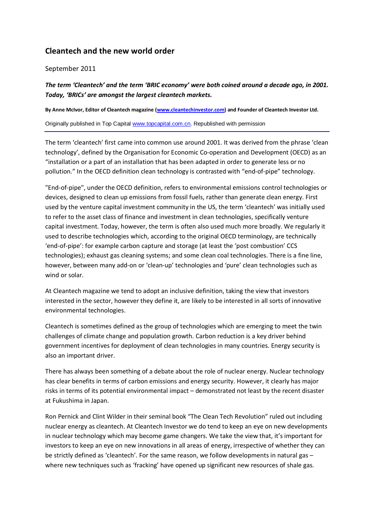# **Cleantech and the new world order**

## September 2011

*The term 'Cleantech' and the term 'BRIC economy' were both coined around a decade ago, in 2001. Today, 'BRICs' are amongst the largest cleantech markets.*

**By Anne McIvor, Editor of Cleantech magazine [\(www.cleantechinvestor.com\)](http://www.cleantechinvestor.com/) and Founder of Cleantech Investor Ltd.**

Originally published in Top Capital [www.topcapital.com.cn.](http://www.topcapital.com.cn/) Republished with permission

The term 'cleantech' first came into common use around 2001. It was derived from the phrase 'clean technology', defined by the Organisation for Economic Co-operation and Development (OECD) as an "installation or a part of an installation that has been adapted in order to generate less or no pollution." In the OECD definition clean technology is contrasted with "end-of-pipe" technology.

"End-of-pipe", under the OECD definition, refers to environmental emissions control technologies or devices, designed to clean up emissions from fossil fuels, rather than generate clean energy. First used by the venture capital investment community in the US, the term 'cleantech' was initially used to refer to the asset class of finance and investment in clean technologies, specifically venture capital investment. Today, however, the term is often also used much more broadly. We regularly it used to describe technologies which, according to the original OECD terminology, are technically 'end-of-pipe': for example carbon capture and storage (at least the 'post combustion' CCS technologies); exhaust gas cleaning systems; and some clean coal technologies. There is a fine line, however, between many add-on or 'clean-up' technologies and 'pure' clean technologies such as wind or solar.

At Cleantech magazine we tend to adopt an inclusive definition, taking the view that investors interested in the sector, however they define it, are likely to be interested in all sorts of innovative environmental technologies.

Cleantech is sometimes defined as the group of technologies which are emerging to meet the twin challenges of climate change and population growth. Carbon reduction is a key driver behind government incentives for deployment of clean technologies in many countries. Energy security is also an important driver.

There has always been something of a debate about the role of nuclear energy. Nuclear technology has clear benefits in terms of carbon emissions and energy security. However, it clearly has major risks in terms of its potential environmental impact – demonstrated not least by the recent disaster at Fukushima in Japan.

Ron Pernick and Clint Wilder in their seminal book "The Clean Tech Revolution" ruled out including nuclear energy as cleantech. At Cleantech Investor we do tend to keep an eye on new developments in nuclear technology which may become game changers. We take the view that, it's important for investors to keep an eye on new innovations in all areas of energy, irrespective of whether they can be strictly defined as 'cleantech'. For the same reason, we follow developments in natural gas – where new techniques such as 'fracking' have opened up significant new resources of shale gas.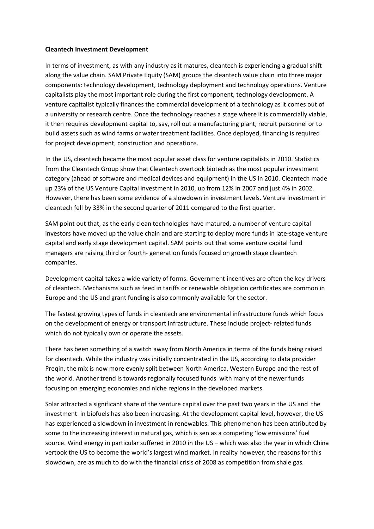### **Cleantech Investment Development**

In terms of investment, as with any industry as it matures, cleantech is experiencing a gradual shift along the value chain. SAM Private Equity (SAM) groups the cleantech value chain into three major components: technology development, technology deployment and technology operations. Venture capitalists play the most important role during the first component, technology development. A venture capitalist typically finances the commercial development of a technology as it comes out of a university or research centre. Once the technology reaches a stage where it is commercially viable, it then requires development capital to, say, roll out a manufacturing plant, recruit personnel or to build assets such as wind farms or water treatment facilities. Once deployed, financing is required for project development, construction and operations.

In the US, cleantech became the most popular asset class for venture capitalists in 2010. Statistics from the Cleantech Group show that Cleantech overtook biotech as the most popular investment category (ahead of software and medical devices and equipment) in the US in 2010. Cleantech made up 23% of the US Venture Capital investment in 2010, up from 12% in 2007 and just 4% in 2002. However, there has been some evidence of a slowdown in investment levels. Venture investment in cleantech fell by 33% in the second quarter of 2011 compared to the first quarter.

SAM point out that, as the early clean technologies have matured, a number of venture capital investors have moved up the value chain and are starting to deploy more funds in late-stage venture capital and early stage development capital. SAM points out that some venture capital fund managers are raising third or fourth- generation funds focused on growth stage cleantech companies.

Development capital takes a wide variety of forms. Government incentives are often the key drivers of cleantech. Mechanisms such as feed in tariffs or renewable obligation certificates are common in Europe and the US and grant funding is also commonly available for the sector.

The fastest growing types of funds in cleantech are environmental infrastructure funds which focus on the development of energy or transport infrastructure. These include project- related funds which do not typically own or operate the assets.

There has been something of a switch away from North America in terms of the funds being raised for cleantech. While the industry was initially concentrated in the US, according to data provider Preqin, the mix is now more evenly split between North America, Western Europe and the rest of the world. Another trend is towards regionally focused funds with many of the newer funds focusing on emerging economies and niche regions in the developed markets.

Solar attracted a significant share of the venture capital over the past two years in the US and the investment in biofuels has also been increasing. At the development capital level, however, the US has experienced a slowdown in investment in renewables. This phenomenon has been attributed by some to the increasing interest in natural gas, which is sen as a competing 'low emissions' fuel source. Wind energy in particular suffered in 2010 in the US – which was also the year in which China vertook the US to become the world's largest wind market. In reality however, the reasons for this slowdown, are as much to do with the financial crisis of 2008 as competition from shale gas.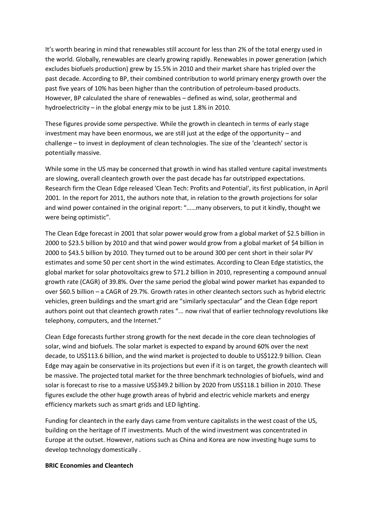It's worth bearing in mind that renewables still account for less than 2% of the total energy used in the world. Globally, renewables are clearly growing rapidly. Renewables in power generation (which excludes biofuels production) grew by 15.5% in 2010 and their market share has tripled over the past decade. According to BP, their combined contribution to world primary energy growth over the past five years of 10% has been higher than the contribution of petroleum-based products. However, BP calculated the share of renewables – defined as wind, solar, geothermal and hydroelectricity – in the global energy mix to be just 1.8% in 2010.

These figures provide some perspective. While the growth in cleantech in terms of early stage investment may have been enormous, we are still just at the edge of the opportunity – and challenge – to invest in deployment of clean technologies. The size of the 'cleantech' sector is potentially massive.

While some in the US may be concerned that growth in wind has stalled venture capital investments are slowing, overall cleantech growth over the past decade has far outstripped expectations. Research firm the Clean Edge released 'Clean Tech: Profits and Potential', its first publication, in April 2001. In the report for 2011, the authors note that, in relation to the growth projections for solar and wind power contained in the original report: "……many observers, to put it kindly, thought we were being optimistic".

The Clean Edge forecast in 2001 that solar power would grow from a global market of \$2.5 billion in 2000 to \$23.5 billion by 2010 and that wind power would grow from a global market of \$4 billion in 2000 to \$43.5 billion by 2010. They turned out to be around 300 per cent short in their solar PV estimates and some 50 per cent short in the wind estimates. According to Clean Edge statistics, the global market for solar photovoltaics grew to \$71.2 billion in 2010, representing a compound annual growth rate (CAGR) of 39.8%. Over the same period the global wind power market has expanded to over \$60.5 billion – a CAGR of 29.7%. Growth rates in other cleantech sectors such as hybrid electric vehicles, green buildings and the smart grid are "similarly spectacular" and the Clean Edge report authors point out that cleantech growth rates "... now rival that of earlier technology revolutions like telephony, computers, and the Internet."

Clean Edge forecasts further strong growth for the next decade in the core clean technologies of solar, wind and biofuels. The solar market is expected to expand by around 60% over the next decade, to US\$113.6 billion, and the wind market is projected to double to US\$122.9 billion. Clean Edge may again be conservative in its projections but even if it is on target, the growth cleantech will be massive. The projected total market for the three benchmark technologies of biofuels, wind and solar is forecast to rise to a massive US\$349.2 billion by 2020 from US\$118.1 billion in 2010. These figures exclude the other huge growth areas of hybrid and electric vehicle markets and energy efficiency markets such as smart grids and LED lighting.

Funding for cleantech in the early days came from venture capitalists in the west coast of the US, building on the heritage of IT investments. Much of the wind investment was concentrated in Europe at the outset. However, nations such as China and Korea are now investing huge sums to develop technology domestically .

#### **BRIC Economies and Cleantech**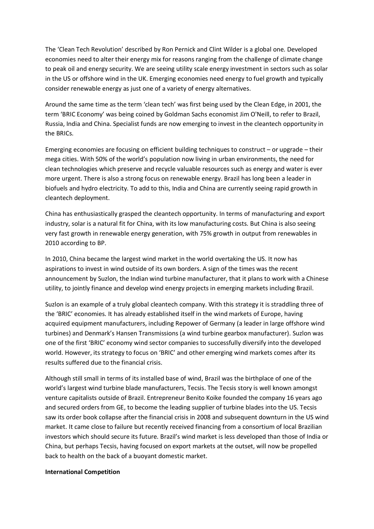The 'Clean Tech Revolution' described by Ron Pernick and Clint Wilder is a global one. Developed economies need to alter their energy mix for reasons ranging from the challenge of climate change to peak oil and energy security. We are seeing utility scale energy investment in sectors such as solar in the US or offshore wind in the UK. Emerging economies need energy to fuel growth and typically consider renewable energy as just one of a variety of energy alternatives.

Around the same time as the term 'clean tech' was first being used by the Clean Edge, in 2001, the term 'BRIC Economy' was being coined by Goldman Sachs economist Jim O'Neill, to refer to Brazil, Russia, India and China. Specialist funds are now emerging to invest in the cleantech opportunity in the BRICs.

Emerging economies are focusing on efficient building techniques to construct – or upgrade – their mega cities. With 50% of the world's population now living in urban environments, the need for clean technologies which preserve and recycle valuable resources such as energy and water is ever more urgent. There is also a strong focus on renewable energy. Brazil has long been a leader in biofuels and hydro electricity. To add to this, India and China are currently seeing rapid growth in cleantech deployment.

China has enthusiastically grasped the cleantech opportunity. In terms of manufacturing and export industry, solar is a natural fit for China, with its low manufacturing costs. But China is also seeing very fast growth in renewable energy generation, with 75% growth in output from renewables in 2010 according to BP.

In 2010, China became the largest wind market in the world overtaking the US. It now has aspirations to invest in wind outside of its own borders. A sign of the times was the recent announcement by Suzlon, the Indian wind turbine manufacturer, that it plans to work with a Chinese utility, to jointly finance and develop wind energy projects in emerging markets including Brazil.

Suzlon is an example of a truly global cleantech company. With this strategy it is straddling three of the 'BRIC' economies. It has already established itself in the wind markets of Europe, having acquired equipment manufacturers, including Repower of Germany (a leader in large offshore wind turbines) and Denmark's Hansen Transmissions (a wind turbine gearbox manufacturer). Suzlon was one of the first 'BRIC' economy wind sector companies to successfully diversify into the developed world. However, its strategy to focus on 'BRIC' and other emerging wind markets comes after its results suffered due to the financial crisis.

Although still small in terms of its installed base of wind, Brazil was the birthplace of one of the world's largest wind turbine blade manufacturers, Tecsis. The Tecsis story is well known amongst venture capitalists outside of Brazil. Entrepreneur Benito Koike founded the company 16 years ago and secured orders from GE, to become the leading supplier of turbine blades into the US. Tecsis saw its order book collapse after the financial crisis in 2008 and subsequent downturn in the US wind market. It came close to failure but recently received financing from a consortium of local Brazilian investors which should secure its future. Brazil's wind market is less developed than those of India or China, but perhaps Tecsis, having focused on export markets at the outset, will now be propelled back to health on the back of a buoyant domestic market.

## **International Competition**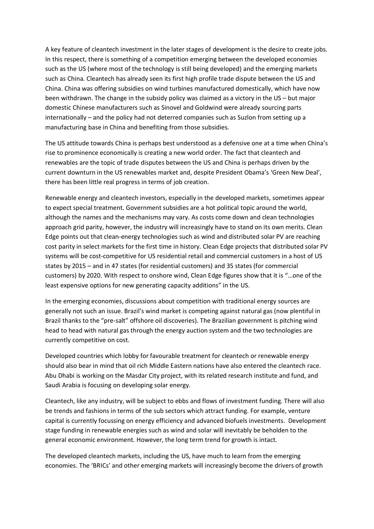A key feature of cleantech investment in the later stages of development is the desire to create jobs. In this respect, there is something of a competition emerging between the developed economies such as the US (where most of the technology is still being developed) and the emerging markets such as China. Cleantech has already seen its first high profile trade dispute between the US and China. China was offering subsidies on wind turbines manufactured domestically, which have now been withdrawn. The change in the subsidy policy was claimed as a victory in the US – but major domestic Chinese manufacturers such as Sinovel and Goldwind were already sourcing parts internationally – and the policy had not deterred companies such as Suzlon from setting up a manufacturing base in China and benefiting from those subsidies.

The US attitude towards China is perhaps best understood as a defensive one at a time when China's rise to prominence economically is creating a new world order. The fact that cleantech and renewables are the topic of trade disputes between the US and China is perhaps driven by the current downturn in the US renewables market and, despite President Obama's 'Green New Deal', there has been little real progress in terms of job creation.

Renewable energy and cleantech investors, especially in the developed markets, sometimes appear to expect special treatment. Government subsidies are a hot political topic around the world, although the names and the mechanisms may vary. As costs come down and clean technologies approach grid parity, however, the industry will increasingly have to stand on its own merits. Clean Edge points out that clean-energy technologies such as wind and distributed solar PV are reaching cost parity in select markets for the first time in history. Clean Edge projects that distributed solar PV systems will be cost-competitive for US residential retail and commercial customers in a host of US states by 2015 – and in 47 states (for residential customers) and 35 states (for commercial customers) by 2020. With respect to onshore wind, Clean Edge figures show that it is "…one of the least expensive options for new generating capacity additions" in the US.

In the emerging economies, discussions about competition with traditional energy sources are generally not such an issue. Brazil's wind market is competing against natural gas (now plentiful in Brazil thanks to the "pre-salt" offshore oil discoveries). The Brazilian government is pitching wind head to head with natural gas through the energy auction system and the two technologies are currently competitive on cost.

Developed countries which lobby for favourable treatment for cleantech or renewable energy should also bear in mind that oil rich Middle Eastern nations have also entered the cleantech race. Abu Dhabi is working on the Masdar City project, with its related research institute and fund, and Saudi Arabia is focusing on developing solar energy.

Cleantech, like any industry, will be subject to ebbs and flows of investment funding. There will also be trends and fashions in terms of the sub sectors which attract funding. For example, venture capital is currently focussing on energy efficiency and advanced biofuels investments. Development stage funding in renewable energies such as wind and solar will inevitably be beholden to the general economic environment. However, the long term trend for growth is intact.

The developed cleantech markets, including the US, have much to learn from the emerging economies. The 'BRICs' and other emerging markets will increasingly become the drivers of growth